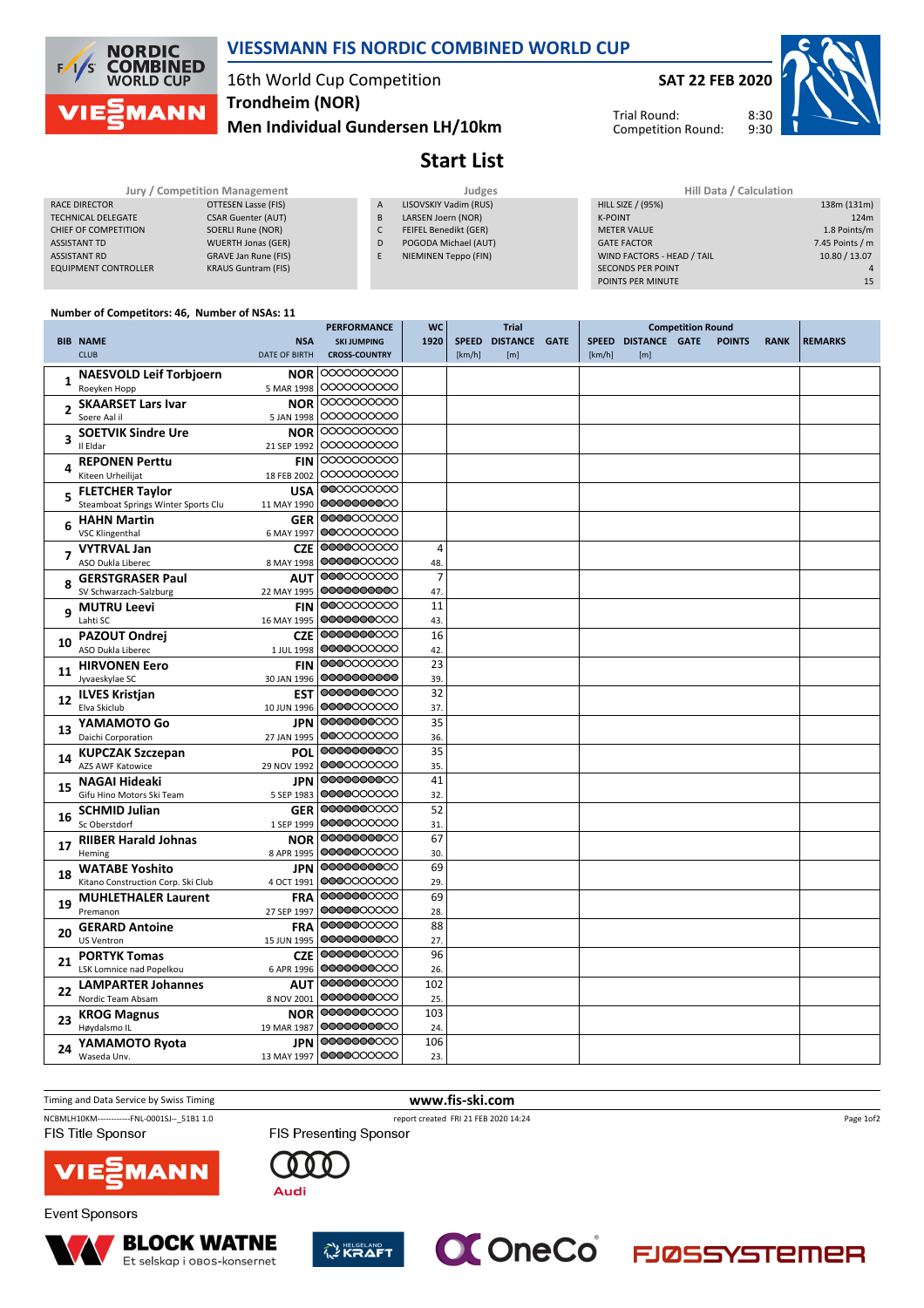

### **VIESSMANN FIS NORDIC COMBINED WORLD CUP**

## 16th World Cup Competition **Trondheim (NOR)**

**Men Individual Gundersen LH/10km**

**SAT 22 FEB 2020**

 $8.30$ Trial Round: Competition Round:



**Start List**

#### **Jury / Competition Management All Data** *Judges**Judges* RACE DIRECTOR **OTTESEN Lasse (FIS)** TECHNICAL DELEGATE CSAR Guenter (AUT) CHIEF OF COMPETITION SOERLI Rune (NOR) ASSISTANT TD WUERTH Jonas (GER) ASSISTANT RD GRAVE Jan Rune (FIS) **EQUIPMENT CONTROLLER** KRAUS Guntram (FIS) A LISOVSKIY Vadim (RUS) B LARSEN Joern (NOR) C FEIFEL Benedikt (GER) D POGODA Michael (AUT) E NIEMINEN Teppo (FIN)

| Hill Data / Calculation    |                 |
|----------------------------|-----------------|
| <b>HILL SIZE / (95%)</b>   | 138m (131m)     |
| <b>K-POINT</b>             | 124m            |
| <b>MFTER VALUE</b>         | 1.8 Points/m    |
| <b>GATE FACTOR</b>         | 7.45 Points / m |
| WIND FACTORS - HEAD / TAIL | 10.80 / 13.07   |
| <b>SECONDS PER POINT</b>   | Δ               |
| POINTS PER MINUTE          | 15              |

#### **Number of Competitors: 46, Number of NSAs: 11**

|                |                                     |                      | <b>PERFORMANCE</b>   | <b>WC</b>      |              | <b>Trial</b>         | <b>Competition Round</b> |                     |               |             |                |
|----------------|-------------------------------------|----------------------|----------------------|----------------|--------------|----------------------|--------------------------|---------------------|---------------|-------------|----------------|
|                | <b>BIB NAME</b>                     | <b>NSA</b>           | <b>SKI JUMPING</b>   | 1920           | <b>SPEED</b> | <b>DISTANCE GATE</b> |                          | SPEED DISTANCE GATE | <b>POINTS</b> | <b>RANK</b> | <b>REMARKS</b> |
|                | <b>CLUB</b>                         | <b>DATE OF BIRTH</b> | <b>CROSS-COUNTRY</b> |                | [km/h]       | [m]                  | [km/h]                   | [m]                 |               |             |                |
|                | <b>NAESVOLD Leif Torbjoern</b>      | <b>NOR</b>           | 0000000000           |                |              |                      |                          |                     |               |             |                |
| $\mathbf{1}$   | Roeyken Hopp                        | 5 MAR 1998           | 0000000000           |                |              |                      |                          |                     |               |             |                |
|                | <b>SKAARSET Lars Ivar</b>           | <b>NOR</b>           | 0000000000           |                |              |                      |                          |                     |               |             |                |
| $\overline{2}$ | Soere Aal il                        | 5 JAN 1998           | 0000000000           |                |              |                      |                          |                     |               |             |                |
|                | <b>SOETVIK Sindre Ure</b>           | <b>NOR</b>           | 0000000000           |                |              |                      |                          |                     |               |             |                |
| 3              | Il Eldar                            | 21 SEP 1992          | 0000000000           |                |              |                      |                          |                     |               |             |                |
|                | <b>REPONEN Perttu</b>               | <b>FIN</b>           | 0000000000           |                |              |                      |                          |                     |               |             |                |
| 4              | Kiteen Urheilijat                   | 18 FEB 2002          | 0000000000           |                |              |                      |                          |                     |               |             |                |
|                | <b>FLETCHER Taylor</b>              | <b>USA</b>           | 0000000000           |                |              |                      |                          |                     |               |             |                |
| 5              | Steamboat Springs Winter Sports Clu | 11 MAY 1990          | 0000000000           |                |              |                      |                          |                     |               |             |                |
|                | <b>HAHN Martin</b>                  | <b>GER</b>           | 0000000000           |                |              |                      |                          |                     |               |             |                |
| 6              | <b>VSC Klingenthal</b>              | 6 MAY 1997           | 0000000000           |                |              |                      |                          |                     |               |             |                |
|                | <b>VYTRVAL Jan</b>                  | <b>CZE</b>           | 0000000000           | $\overline{4}$ |              |                      |                          |                     |               |             |                |
|                | ASO Dukla Liberec                   | 8 MAY 1998           | 0000000000           | 48.            |              |                      |                          |                     |               |             |                |
|                | <b>GERSTGRASER Paul</b>             | <b>AUT</b>           | 0000000000           | $\overline{7}$ |              |                      |                          |                     |               |             |                |
|                | SV Schwarzach-Salzburg              | 22 MAY 1995          | 0000000000           | 47.            |              |                      |                          |                     |               |             |                |
|                | <b>MUTRU Leevi</b>                  | <b>FIN</b>           | 0000000000           | 11             |              |                      |                          |                     |               |             |                |
| 9              | Lahti SC                            | 16 MAY 1995          | 0000000000           | 43.            |              |                      |                          |                     |               |             |                |
|                | <b>PAZOUT Ondrej</b>                | <b>CZE</b>           | 0000000000           | 16             |              |                      |                          |                     |               |             |                |
| 10             | ASO Dukla Liberec                   | 1 JUL 1998           | 0000000000           | 42             |              |                      |                          |                     |               |             |                |
|                | <b>HIRVONEN Eero</b>                | <b>FIN</b>           | 0000000000           | 23             |              |                      |                          |                     |               |             |                |
| 11             | Jyvaeskylae SC                      | 30 JAN 1996          | 0000000000           | 39.            |              |                      |                          |                     |               |             |                |
|                | <b>ILVES Kristjan</b>               | <b>EST</b>           | 0000000000           | 32             |              |                      |                          |                     |               |             |                |
| 12             | Elva Skiclub                        | 10 JUN 1996          | 0000000000           | 37.            |              |                      |                          |                     |               |             |                |
|                | YAMAMOTO Go                         | <b>JPN</b>           | 0000000000           | 35             |              |                      |                          |                     |               |             |                |
| 13             | Daichi Corporation                  | 27 JAN 1995          | 0000000000           | 36.            |              |                      |                          |                     |               |             |                |
|                | <b>KUPCZAK Szczepan</b>             | POL                  | 0000000000           | 35             |              |                      |                          |                     |               |             |                |
| 14             | AZS AWF Katowice                    | 29 NOV 1992          | 0000000000           | 35.            |              |                      |                          |                     |               |             |                |
|                | <b>NAGAI Hideaki</b>                | <b>JPN</b>           | 0000000000           | 41             |              |                      |                          |                     |               |             |                |
| 15             | Gifu Hino Motors Ski Team           | 5 SEP 1983           | 0000000000           | 32.            |              |                      |                          |                     |               |             |                |
|                | <b>SCHMID Julian</b>                | <b>GER</b>           | 0000000000           | 52             |              |                      |                          |                     |               |             |                |
| 16             | Sc Oberstdorf                       | 1 SEP 1999           | 0000000000           | 31             |              |                      |                          |                     |               |             |                |
|                | <b>RIIBER Harald Johnas</b>         | <b>NOR</b>           | 0000000000           | 67             |              |                      |                          |                     |               |             |                |
| 17             | Heming                              | 8 APR 1995           | 0000000000           | 30.            |              |                      |                          |                     |               |             |                |
|                | <b>WATABE Yoshito</b>               | <b>JPN</b>           | 0000000000           | 69             |              |                      |                          |                     |               |             |                |
| 18             | Kitano Construction Corp. Ski Club  | 4 OCT 1991           | 0000000000           | 29.            |              |                      |                          |                     |               |             |                |
| 19             | <b>MUHLETHALER Laurent</b>          | <b>FRA</b>           | 0000000000           | 69             |              |                      |                          |                     |               |             |                |
|                | Premanon                            | 27 SEP 1997          | 0000000000           | 28.            |              |                      |                          |                     |               |             |                |
| 20             | <b>GERARD Antoine</b>               | <b>FRA</b>           | 0000000000           | 88             |              |                      |                          |                     |               |             |                |
|                | US Ventron                          | 15 JUN 1995          | 0000000000           | 27.            |              |                      |                          |                     |               |             |                |
| 21             | <b>PORTYK Tomas</b>                 | <b>CZE</b>           | 0000000000           | 96             |              |                      |                          |                     |               |             |                |
|                | LSK Lomnice nad Popelkou            | 6 APR 1996           | 0000000000           | 26.            |              |                      |                          |                     |               |             |                |
| 22             | <b>LAMPARTER Johannes</b>           | AUT                  | 0000000000           | 102            |              |                      |                          |                     |               |             |                |
|                | Nordic Team Absam                   | 8 NOV 2001           | 0000000000           | 25.            |              |                      |                          |                     |               |             |                |
| 23             | <b>KROG Magnus</b>                  | <b>NOR</b>           | 0000000000           | 103            |              |                      |                          |                     |               |             |                |
|                | Høydalsmo IL                        | 19 MAR 1987          | 0000000000           | 24.            |              |                      |                          |                     |               |             |                |
| 24             | YAMAMOTO Ryota                      | <b>JPN</b>           | 0000000000           | 106            |              |                      |                          |                     |               |             |                |
|                | Waseda Unv.                         | 13 MAY 1997          | 0000000000           | 23.            |              |                      |                          |                     |               |             |                |